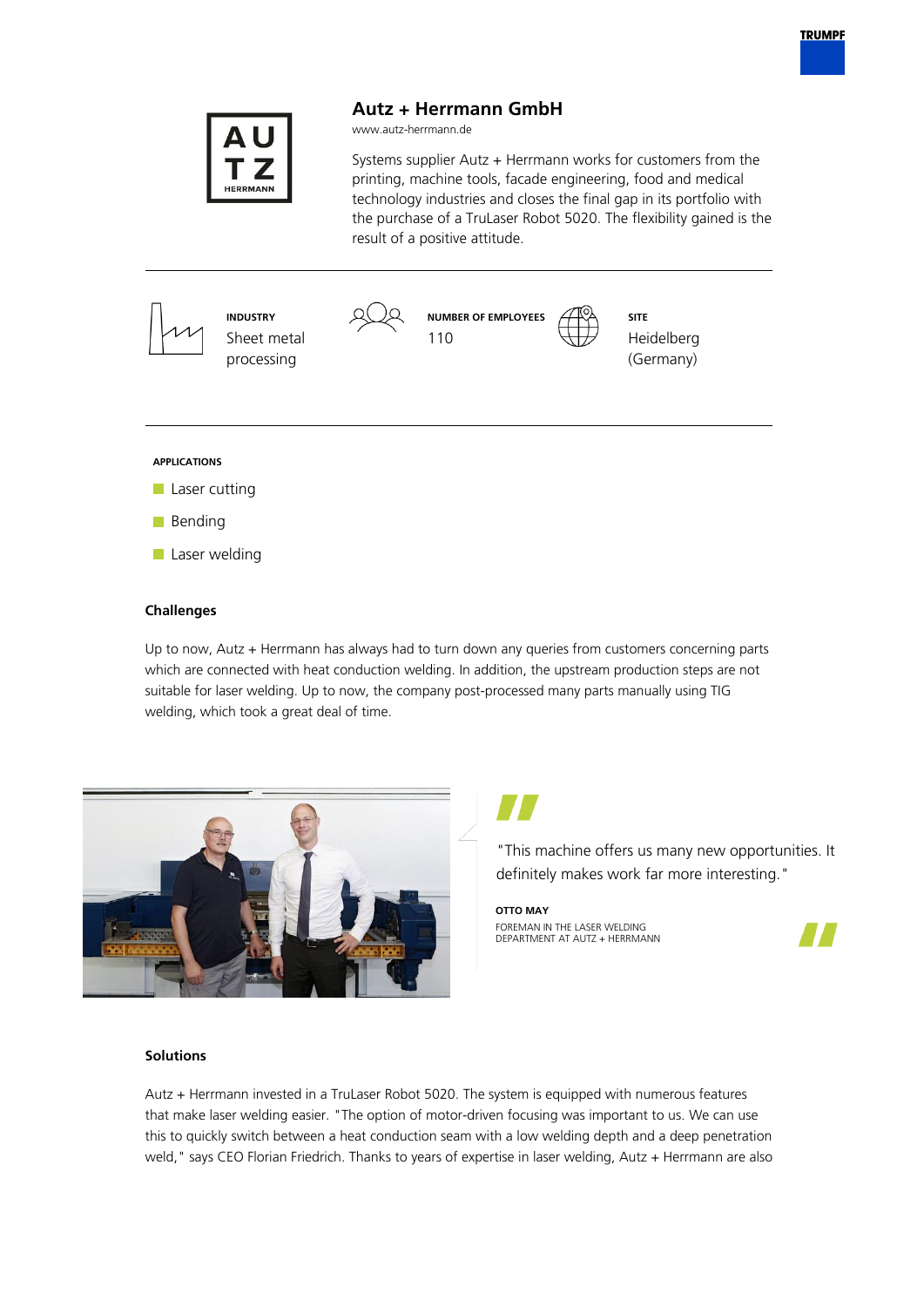



**Autz + Herrmann GmbH**

# **Challenges**

Up to now, Autz + Herrmann has always had to turn down any queries from customers concerning parts which are connected with heat conduction welding. In addition, the upstream production steps are not suitable for laser welding. Up to now, the company post-processed many parts manually using TIG welding, which took a great deal of time.



"This machine offers us many new opportunities. It definitely makes work far more interesting."

**OTTO MAY** FOREMAN IN THE LASER WELDING DEPARTMENT AT AUTZ + HERRMANN



### **Solutions**

Autz + Herrmann invested in a TruLaser Robot 5020. The system is equipped with numerous features that make laser welding easier. "The option of motor-driven focusing was important to us. We can use this to quickly switch between a heat conduction seam with a low welding depth and a deep penetration weld," says CEO Florian Friedrich. Thanks to years of expertise in laser welding, Autz + Herrmann are also